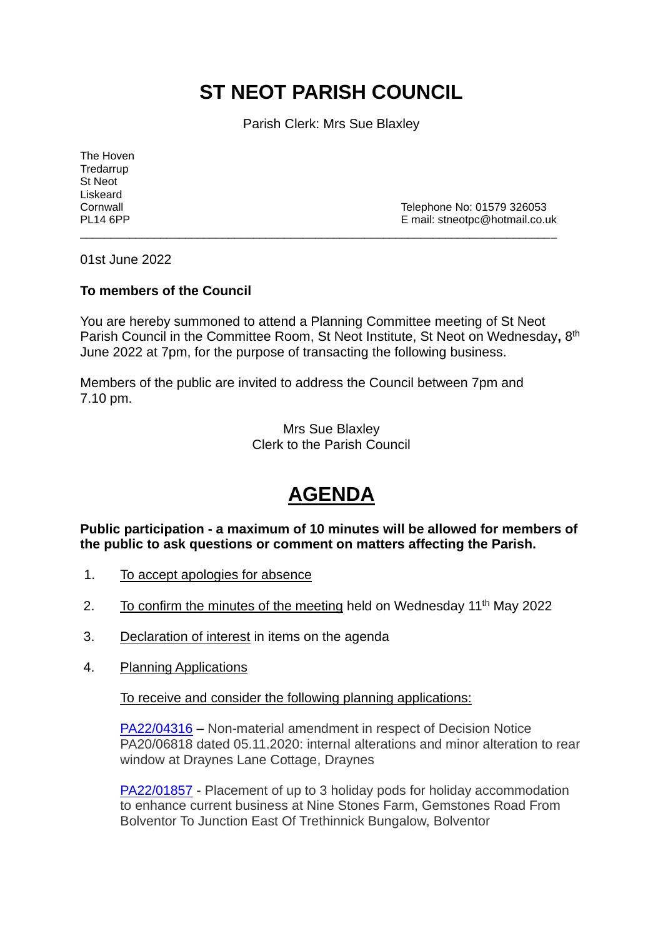## **ST NEOT PARISH COUNCIL**

Parish Clerk: Mrs Sue Blaxley

The Hoven **Tredarrup** St Neot Liskeard

Cornwall Cornwall Cornwall Cornwall Cornwall Cornwall Cornwall Cornwall Cornwall Cornwall Cornwall Corner Corner Corner Corner Corner Corner Corner Corner Corner Corner Corner Corner Corner Corner Corner Corner Corner Corn E mail: stneotpc@hotmail.co.uk

01st June 2022

## **To members of the Council**

You are hereby summoned to attend a Planning Committee meeting of St Neot Parish Council in the Committee Room, St Neot Institute, St Neot on Wednesday, 8<sup>th</sup> June 2022 at 7pm, for the purpose of transacting the following business.

\_\_\_\_\_\_\_\_\_\_\_\_\_\_\_\_\_\_\_\_\_\_\_\_\_\_\_\_\_\_\_\_\_\_\_\_\_\_\_\_\_\_\_\_\_\_\_\_\_\_\_\_\_\_\_\_\_\_\_\_\_\_\_\_\_\_\_\_\_\_\_\_\_\_\_\_\_

Members of the public are invited to address the Council between 7pm and 7.10 pm.

> Mrs Sue Blaxley Clerk to the Parish Council

## **AGENDA**

**Public participation - a maximum of 10 minutes will be allowed for members of the public to ask questions or comment on matters affecting the Parish.**

- 1. To accept apologies for absence
- 2. To confirm the minutes of the meeting held on Wednesday  $11<sup>th</sup>$  May 2022
- 3. Declaration of interest in items on the agenda
- 4. Planning Applications

To receive and consider the following planning applications:

[PA22/04316](https://planning.cornwall.gov.uk/online-applications/applicationDetails.do?activeTab=summary&keyVal=RBGIMBFGIVU00&prevPage=inTray) – Non-material amendment in respect of Decision Notice PA20/06818 dated 05.11.2020: internal alterations and minor alteration to rear window at Draynes Lane Cottage, Draynes

[PA22/01857](https://planning.cornwall.gov.uk/online-applications/applicationDetails.do?activeTab=summary&keyVal=R7R2DMFGN1O00&prevPage=inTray) - Placement of up to 3 holiday pods for holiday accommodation to enhance current business at Nine Stones Farm, Gemstones Road From Bolventor To Junction East Of Trethinnick Bungalow, Bolventor